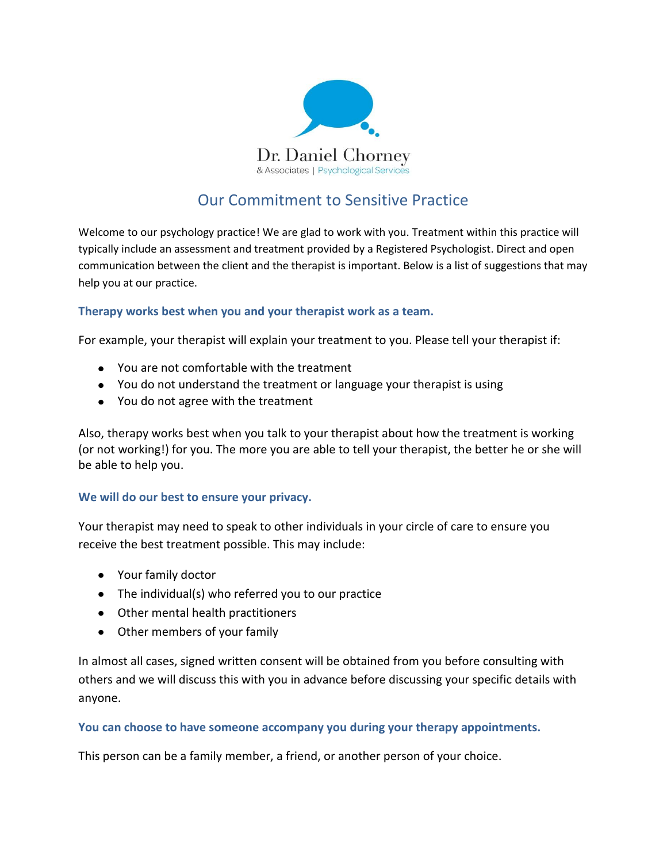

# Our Commitment to Sensitive Practice

Welcome to our psychology practice! We are glad to work with you. Treatment within this practice will typically include an assessment and treatment provided by a Registered Psychologist. Direct and open communication between the client and the therapist is important. Below is a list of suggestions that may help you at our practice.

### **Therapy works best when you and your therapist work as a team.**

For example, your therapist will explain your treatment to you. Please tell your therapist if:

- You are not comfortable with the treatment
- You do not understand the treatment or language your therapist is using
- You do not agree with the treatment

Also, therapy works best when you talk to your therapist about how the treatment is working (or not working!) for you. The more you are able to tell your therapist, the better he or she will be able to help you.

### **We will do our best to ensure your privacy.**

Your therapist may need to speak to other individuals in your circle of care to ensure you receive the best treatment possible. This may include:

- Your family doctor
- The individual(s) who referred you to our practice
- Other mental health practitioners
- Other members of your family

In almost all cases, signed written consent will be obtained from you before consulting with others and we will discuss this with you in advance before discussing your specific details with anyone.

### **You can choose to have someone accompany you during your therapy appointments.**

This person can be a family member, a friend, or another person of your choice.